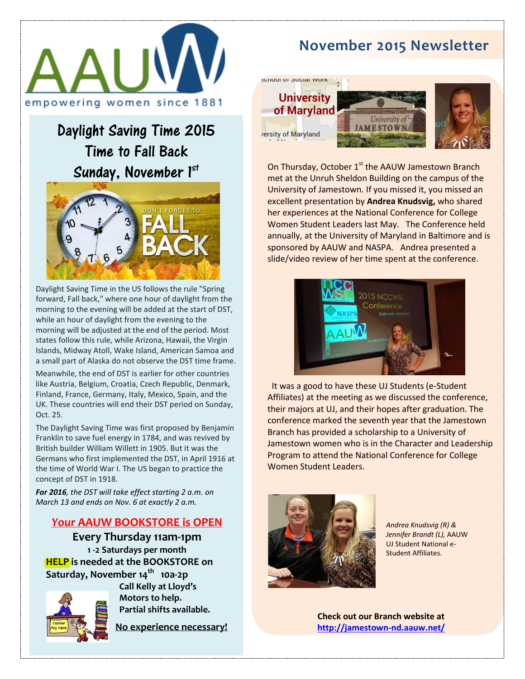

# Daylight Saving Time 2015 Time to Fall Back Sunday, November 1st



forward, ran back, where one noar or daying it home the morning to the evening will be added at the start of DST, while an hour of daylight from the evening to the morning will be adjusted at the end of the period. Most<br>states follow this rule, while Arizona, Hawaii, the Virgin Islands, Midway Atoll, Wake Island, American Samoa and a small part of Alaska do not observe the DST time frame.<br>a small part of Alaska do not observe the DST time frame. Daylight Saving Time in the US follows the rule "Spring forward, Fall back," where one hour of daylight from the morning will be adjusted at the end of the period. Most

like Austria, Belgium, Croatia, Czech Republic, Denmark, Finland, France, Germany, Italy, Mexico, Spain, and the while  $\sim$  1.25, the Virgin Islands, Hawaii, the Virgin Islands, Hawaii, the Virgin Islands, Hawaii, the Virgin Islands, Hawaii, the Virgin Islands, Hawaii, the Virgin Islands, Hawaii, the Virgin Islands, Hawaii, the Virgi Meanwhile, the end of DST is earlier for other countries UK. These countries will end their DST period on Sunday, Oct. 25.

The Daylight Saving Time was first proposed by Benjamin and a small part of Alaska do not observe British builder William Willett in 1905. But it was the Germans who first implemented the DST, in April 1916 at Franklin to save fuel energy in 1784, and was revived by the time of World War I. The US began to practice the concept of DST in 1918.

**For 2016***, the DST will take effect starting 2 a.m. on March 13 and ends on Nov. 6 at exactly 2 a.m.* 

## **Your AAUW BOOKSTORE is OPEN**

**Every Thursday 11am-1pm 1 -2 Saturdays per month HELP** is needed at the BOOKSTORE on **Saturday, November 14th 10a-2p** 

Germans who first implemented the DST, in



**Call Kelly at Lloyd's**  Motors to help. **Partial shifts available.** 

**No experience necessary!** 

## **November 2015 Newsletter**

: **University** of Maryland rersity of Maryland

**SCHOOL OF OUGHER VIOLE** 





On Thursday, October  $1<sup>st</sup>$  the AAUW Jamestown Branch met at the Unruh Sheldon Building on the campus of the University of Jamestown. If you missed it, you missed an excellent presentation by **Andrea Knudsvig,** who shared her experiences at the National Conference for College Women Student Leaders last May. The Conference held annually, at the University of Maryland in Baltimore and is sponsored by AAUW and NASPA. Andrea presented a slide/video review of her time spent at the conference.



 It was a good to have these UJ Students (e-Student Affiliates) at the meeting as we discussed the conference, their majors at UJ, and their hopes after graduation. The conference marked the seventh year that the Jamestown Branch has provided a scholarship to a University of Jamestown women who is in the Character and Leadership Program to attend the National Conference for College Women Student Leaders.



 *Jennifer Brandt (L),* AAUW *Andrea Knudsvig (R) &*  UJ Student National e-Student Affiliates.